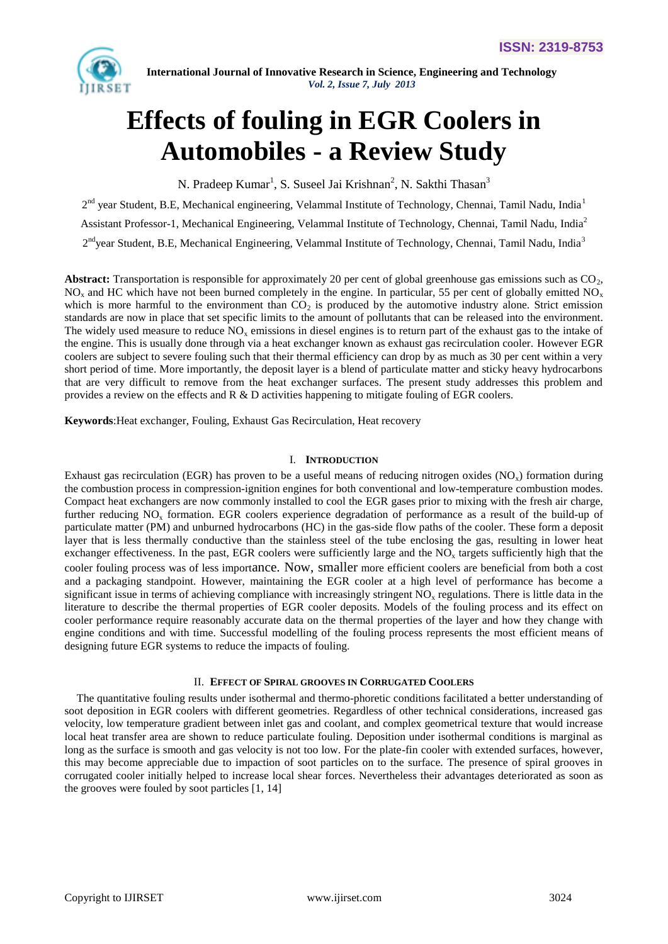

# **Effects of fouling in EGR Coolers in Automobiles - a Review Study**

N. Pradeep Kumar<sup>1</sup>, S. Suseel Jai Krishnan<sup>2</sup>, N. Sakthi Thasan<sup>3</sup>

2<sup>nd</sup> year Student, B.E, Mechanical engineering, Velammal Institute of Technology, Chennai, Tamil Nadu, India<sup>1</sup>

Assistant Professor-1, Mechanical Engineering, Velammal Institute of Technology, Chennai, Tamil Nadu, India<sup>2</sup>

2<sup>nd</sup>year Student, B.E, Mechanical Engineering, Velammal Institute of Technology, Chennai, Tamil Nadu, India<sup>3</sup>

Abstract: Transportation is responsible for approximately 20 per cent of global greenhouse gas emissions such as CO<sub>2</sub>,  $NO<sub>x</sub>$  and HC which have not been burned completely in the engine. In particular, 55 per cent of globally emitted NO<sub>x</sub> which is more harmful to the environment than  $CO<sub>2</sub>$  is produced by the automotive industry alone. Strict emission standards are now in place that set specific limits to the amount of pollutants that can be released into the environment. The widely used measure to reduce  $NO<sub>x</sub>$  emissions in diesel engines is to return part of the exhaust gas to the intake of the engine. This is usually done through via a heat exchanger known as exhaust gas recirculation cooler. However EGR coolers are subject to severe fouling such that their thermal efficiency can drop by as much as 30 per cent within a very short period of time. More importantly, the deposit layer is a blend of particulate matter and sticky heavy hydrocarbons that are very difficult to remove from the heat exchanger surfaces. The present study addresses this problem and provides a review on the effects and  $R \& D$  activities happening to mitigate fouling of EGR coolers.

**Keywords**:Heat exchanger, Fouling, Exhaust Gas Recirculation, Heat recovery

#### I. **INTRODUCTION**

Exhaust gas recirculation (EGR) has proven to be a useful means of reducing nitrogen oxides ( $NO<sub>x</sub>$ ) formation during the combustion process in compression-ignition engines for both conventional and low-temperature combustion modes. Compact heat exchangers are now commonly installed to cool the EGR gases prior to mixing with the fresh air charge, further reducing  $NO<sub>x</sub>$  formation. EGR coolers experience degradation of performance as a result of the build-up of particulate matter (PM) and unburned hydrocarbons (HC) in the gas-side flow paths of the cooler. These form a deposit layer that is less thermally conductive than the stainless steel of the tube enclosing the gas, resulting in lower heat exchanger effectiveness. In the past, EGR coolers were sufficiently large and the  $NO<sub>x</sub>$  targets sufficiently high that the cooler fouling process was of less importance. Now, smaller more efficient coolers are beneficial from both a cost and a packaging standpoint. However, maintaining the EGR cooler at a high level of performance has become a significant issue in terms of achieving compliance with increasingly stringent  $NO<sub>x</sub>$  regulations. There is little data in the literature to describe the thermal properties of EGR cooler deposits. Models of the fouling process and its effect on cooler performance require reasonably accurate data on the thermal properties of the layer and how they change with engine conditions and with time. Successful modelling of the fouling process represents the most efficient means of designing future EGR systems to reduce the impacts of fouling.

#### II. **EFFECT OF SPIRAL GROOVES IN CORRUGATED COOLERS**

The quantitative fouling results under isothermal and thermo-phoretic conditions facilitated a better understanding of soot deposition in EGR coolers with different geometries. Regardless of other technical considerations, increased gas velocity, low temperature gradient between inlet gas and coolant, and complex geometrical texture that would increase local heat transfer area are shown to reduce particulate fouling. Deposition under isothermal conditions is marginal as long as the surface is smooth and gas velocity is not too low. For the plate-fin cooler with extended surfaces, however, this may become appreciable due to impaction of soot particles on to the surface. The presence of spiral grooves in corrugated cooler initially helped to increase local shear forces. Nevertheless their advantages deteriorated as soon as the grooves were fouled by soot particles [1, 14]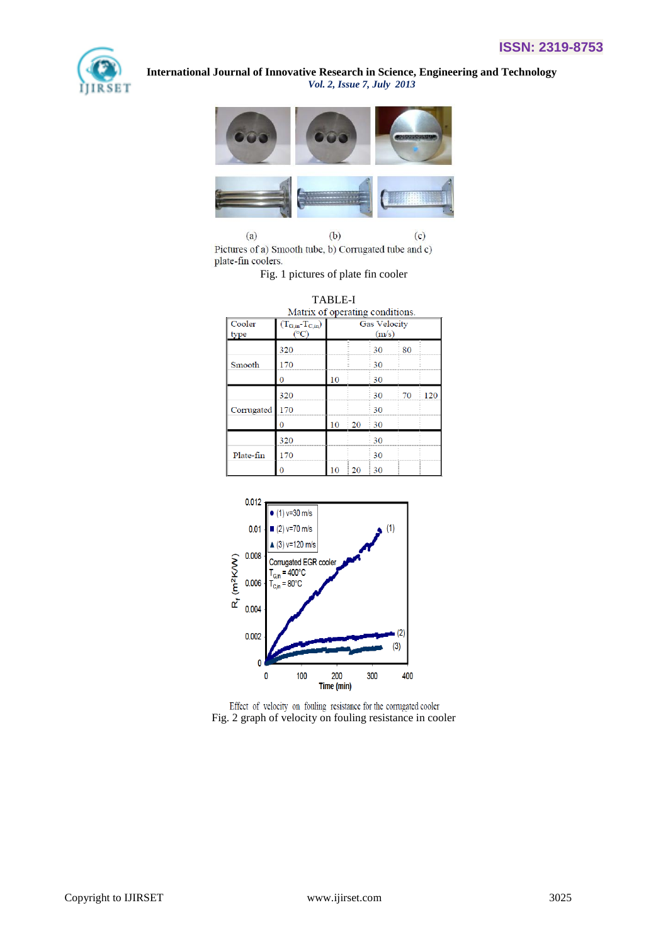



 $(b)$  $(a)$  $(c)$ Pictures of a) Smooth tube, b) Corrugated tube and c) plate-fin coolers.

Fig. 1 pictures of plate fin cooler

|                | Matrix of operating conditions.            | <b>TABLE-I</b>               |    |              |              |     |  |
|----------------|--------------------------------------------|------------------------------|----|--------------|--------------|-----|--|
| Cooler<br>type | $(T_{G,in} - T_{C,in})$<br>$({}^{\circ}C)$ | <b>Gas Velocity</b><br>(m/s) |    |              |              |     |  |
|                | 320                                        |                              |    | 30           | $80^{\circ}$ |     |  |
| Smooth         | 170                                        |                              |    | 30           |              |     |  |
|                | 0                                          | 10                           |    | 30           |              |     |  |
|                | 320                                        |                              |    | 30           | 70           | 120 |  |
| Corrugated     | 170                                        |                              |    | 30           |              |     |  |
|                | 0                                          | 10                           | 20 | 30           |              |     |  |
|                | 320                                        |                              |    | 30           |              |     |  |
| Plate-fin      | 170                                        |                              |    | 30           |              |     |  |
|                | ∩                                          | 1 <sub>0</sub>               | 20 | $30^{\circ}$ |              |     |  |



Effect of velocity on fouling resistance for the corrugated cooler Fig. 2 graph of velocity on fouling resistance in cooler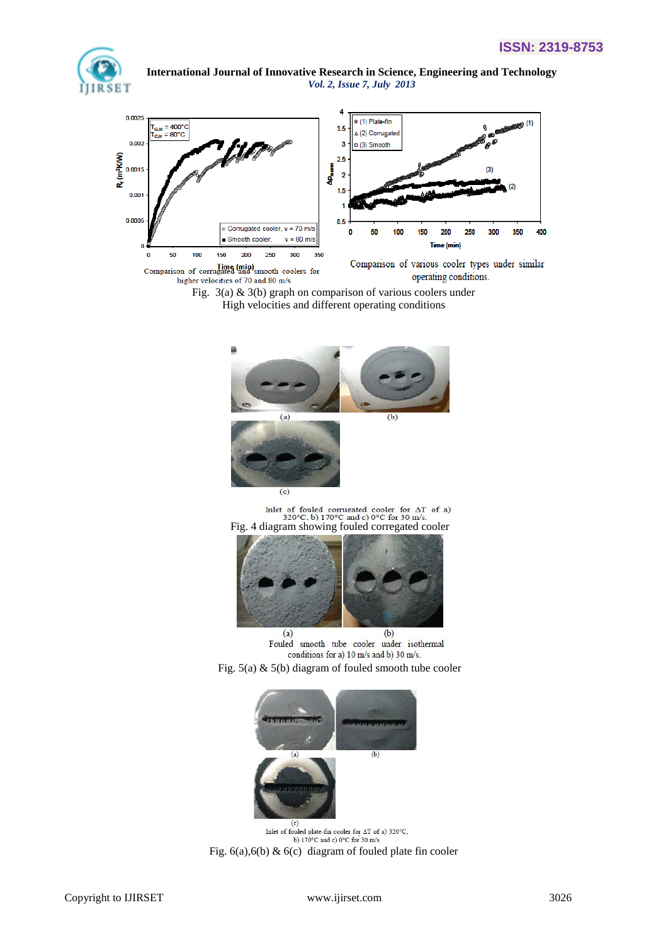





Fig. 3(a) & 3(b) graph on comparison of various coolers under High velocities and different operating conditions



Inlet of fouled corrugated cooler for  $\Delta T$  of a)<br>320°C, b) 170°C and c) 0°C for 30 m/s.<br>Fig. 4 diagram showing fouled corregated cooler



(a) (b)<br>Fouled smooth tube cooler under isothermal conditions for a) 10 m/s and b) 30 m/s.





(c)<br>Inlet of fouled plate-fin cooler for  $\Delta T$  of a) 320°C. b) 170°C and c) 0°C for 30 m/s. Fig. 6(a),6(b) & 6(c) diagram of fouled plate fin cooler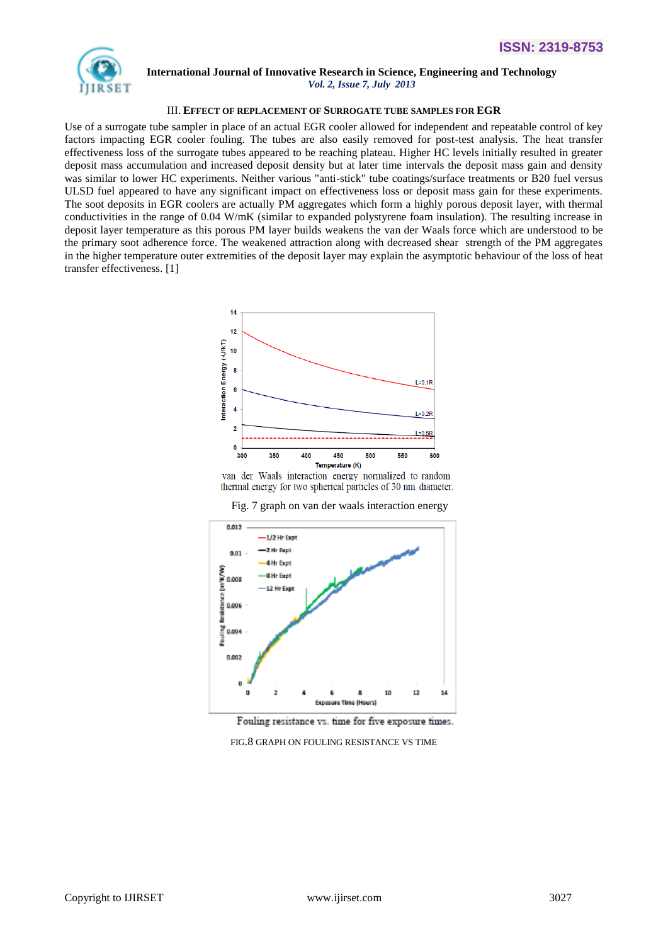

### **International Journal of Innovative Research in Science, Engineering and Technology**

 *Vol. 2, Issue 7, July 2013*

#### III. **EFFECT OF REPLACEMENT OF SURROGATE TUBE SAMPLES FOR EGR**

Use of a surrogate tube sampler in place of an actual EGR cooler allowed for independent and repeatable control of key factors impacting EGR cooler fouling. The tubes are also easily removed for post-test analysis. The heat transfer effectiveness loss of the surrogate tubes appeared to be reaching plateau. Higher HC levels initially resulted in greater deposit mass accumulation and increased deposit density but at later time intervals the deposit mass gain and density was similar to lower HC experiments. Neither various "anti-stick" tube coatings/surface treatments or B20 fuel versus ULSD fuel appeared to have any significant impact on effectiveness loss or deposit mass gain for these experiments. The soot deposits in EGR coolers are actually PM aggregates which form a highly porous deposit layer, with thermal conductivities in the range of 0.04 W/mK (similar to expanded polystyrene foam insulation). The resulting increase in deposit layer temperature as this porous PM layer builds weakens the van der Waals force which are understood to be the primary soot adherence force. The weakened attraction along with decreased shear strength of the PM aggregates in the higher temperature outer extremities of the deposit layer may explain the asymptotic behaviour of the loss of heat transfer effectiveness. [1]



van der Waals interaction energy normalized to random thermal energy for two spherical particles of 30 nm diameter.



Fig. 7 graph on van der waals interaction energy

Fouling resistance vs. time for five exposure times.

FIG.8 GRAPH ON FOULING RESISTANCE VS TIME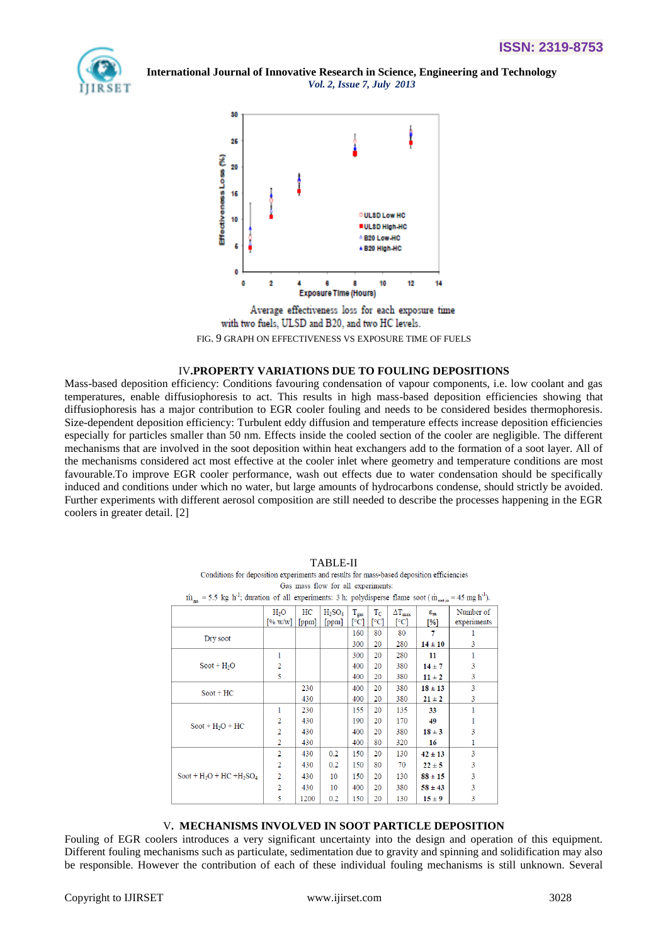



Average effectiveness loss for each exposure time with two fuels, ULSD and B20, and two HC levels. FIG. 9 GRAPH ON EFFECTIVENESS VS EXPOSURE TIME OF FUELS

#### IV**.PROPERTY VARIATIONS DUE TO FOULING DEPOSITIONS**

Mass-based deposition efficiency: Conditions favouring condensation of vapour components, i.e. low coolant and gas temperatures, enable diffusiophoresis to act. This results in high mass-based deposition efficiencies showing that diffusiophoresis has a major contribution to EGR cooler fouling and needs to be considered besides thermophoresis. Size-dependent deposition efficiency: Turbulent eddy diffusion and temperature effects increase deposition efficiencies especially for particles smaller than 50 nm. Effects inside the cooled section of the cooler are negligible. The different mechanisms that are involved in the soot deposition within heat exchangers add to the formation of a soot layer. All of the mechanisms considered act most effective at the cooler inlet where geometry and temperature conditions are most favourable.To improve EGR cooler performance, wash out effects due to water condensation should be specifically induced and conditions under which no water, but large amounts of hydrocarbons condense, should strictly be avoided. Further experiments with different aerosol composition are still needed to describe the processes happening in the EGR coolers in greater detail. [2]

| $\dot{m}_{\text{me}}$ = 5.5 kg h <sup>-1</sup> ; duration of all experiments: 3 h; polydisperse flame soot ( $\dot{m}_{\text{scotim}}$ = 45 mg h <sup>-1</sup> ). |                                                  |             |                    |                   |                     |                              |                              |                          |  |  |  |
|-------------------------------------------------------------------------------------------------------------------------------------------------------------------|--------------------------------------------------|-------------|--------------------|-------------------|---------------------|------------------------------|------------------------------|--------------------------|--|--|--|
|                                                                                                                                                                   | H <sub>2</sub> O<br>$\lceil\% \text{ w/w}\rceil$ | HС<br>[ppm] | $H_2SO_4$<br>[ppm] | $T_{gas}$<br>[°C] | $T_{\rm C}$<br>[°C] | $\Delta T_{\rm max}$<br>[°C] | $\varepsilon_{\rm m}$<br>[%] | Number of<br>experiments |  |  |  |
| Dry soot                                                                                                                                                          |                                                  |             |                    | 160               | 80                  | 80                           | 7                            |                          |  |  |  |
|                                                                                                                                                                   |                                                  |             |                    | 300               | 20                  | 280                          | $14 \pm 10$                  | 3                        |  |  |  |
| $Soot + H2O$                                                                                                                                                      | 1                                                |             |                    | 300               | 20                  | 280                          | 11                           |                          |  |  |  |
|                                                                                                                                                                   | 2                                                |             |                    | 400               | 20                  | 380                          | $14 \pm 7$                   | 3                        |  |  |  |
|                                                                                                                                                                   | 5                                                |             |                    | 400               | 20                  | 380                          | $11 \pm 2$                   | 3                        |  |  |  |
| $Soot + HC$                                                                                                                                                       |                                                  | 230         |                    | 400               | 20                  | 380                          | $18 \pm 13$                  | 3                        |  |  |  |
|                                                                                                                                                                   |                                                  | 430         |                    | 400               | 20                  | 380                          | $21 \pm 2$                   | 3                        |  |  |  |
| $Soot + H2O + HC$                                                                                                                                                 | 1                                                | 230         |                    | 155               | 20                  | 135                          | 33                           |                          |  |  |  |
|                                                                                                                                                                   | 2                                                | 430         |                    | 190               | 20                  | 170                          | 49                           |                          |  |  |  |
|                                                                                                                                                                   | $\overline{2}$                                   | 430         |                    | 400               | 20                  | 380                          | $18 \pm 3$                   | 3                        |  |  |  |
|                                                                                                                                                                   | 2                                                | 430         |                    | 400               | 80                  | 320                          | 16                           |                          |  |  |  |
| Soot + $H_2O$ + $HC$ + $H_2SO_4$                                                                                                                                  | $\overline{2}$                                   | 430         | 0.2                | 150               | 20                  | 130                          | $42 \pm 13$                  | 3                        |  |  |  |
|                                                                                                                                                                   | $\overline{2}$                                   | 430         | 0.2                | 150               | 80                  | 70                           | $22 \pm 5$                   | 3                        |  |  |  |
|                                                                                                                                                                   | 2                                                | 430         | 10                 | 150               | 20                  | 130                          | $88 \pm 15$                  | 3                        |  |  |  |
|                                                                                                                                                                   | $\overline{2}$                                   | 430         | 10                 | 400               | 20                  | 380                          | $58 \pm 43$                  | 3                        |  |  |  |
|                                                                                                                                                                   | 5                                                | 1200        | 0.2                | 150               | 20                  | 130                          | $15 \pm 9$                   | 3                        |  |  |  |

TABLE-II<br>Conditions for denosition experiments and results for mass-based denosition efficiencies Gas mass flow for all experiments

#### V**. MECHANISMS INVOLVED IN SOOT PARTICLE DEPOSITION**

Fouling of EGR coolers introduces a very significant uncertainty into the design and operation of this equipment. Different fouling mechanisms such as particulate, sedimentation due to gravity and spinning and solidification may also be responsible. However the contribution of each of these individual fouling mechanisms is still unknown. Several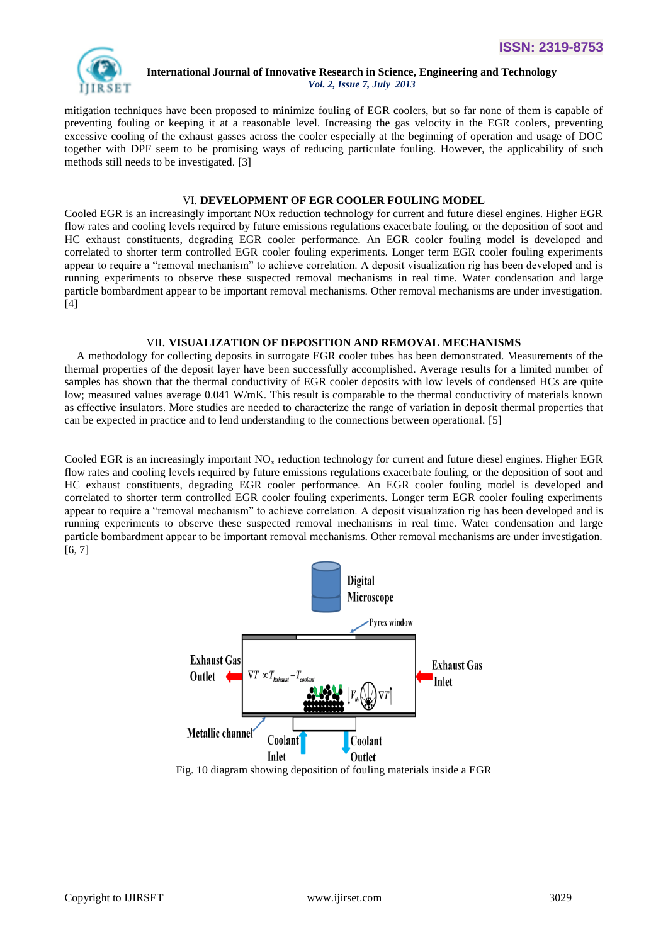

mitigation techniques have been proposed to minimize fouling of EGR coolers, but so far none of them is capable of preventing fouling or keeping it at a reasonable level. Increasing the gas velocity in the EGR coolers, preventing excessive cooling of the exhaust gasses across the cooler especially at the beginning of operation and usage of DOC together with DPF seem to be promising ways of reducing particulate fouling. However, the applicability of such methods still needs to be investigated. [3]

#### VI. **DEVELOPMENT OF EGR COOLER FOULING MODEL**

Cooled EGR is an increasingly important NOx reduction technology for current and future diesel engines. Higher EGR flow rates and cooling levels required by future emissions regulations exacerbate fouling, or the deposition of soot and HC exhaust constituents, degrading EGR cooler performance. An EGR cooler fouling model is developed and correlated to shorter term controlled EGR cooler fouling experiments. Longer term EGR cooler fouling experiments appear to require a "removal mechanism" to achieve correlation. A deposit visualization rig has been developed and is running experiments to observe these suspected removal mechanisms in real time. Water condensation and large particle bombardment appear to be important removal mechanisms. Other removal mechanisms are under investigation. [4]

#### VII. **VISUALIZATION OF DEPOSITION AND REMOVAL MECHANISMS**

A methodology for collecting deposits in surrogate EGR cooler tubes has been demonstrated. Measurements of the thermal properties of the deposit layer have been successfully accomplished. Average results for a limited number of samples has shown that the thermal conductivity of EGR cooler deposits with low levels of condensed HCs are quite low; measured values average 0.041 W/mK. This result is comparable to the thermal conductivity of materials known as effective insulators. More studies are needed to characterize the range of variation in deposit thermal properties that can be expected in practice and to lend understanding to the connections between operational. [5]

Cooled EGR is an increasingly important  $NO<sub>x</sub>$  reduction technology for current and future diesel engines. Higher EGR flow rates and cooling levels required by future emissions regulations exacerbate fouling, or the deposition of soot and HC exhaust constituents, degrading EGR cooler performance. An EGR cooler fouling model is developed and correlated to shorter term controlled EGR cooler fouling experiments. Longer term EGR cooler fouling experiments appear to require a "removal mechanism" to achieve correlation. A deposit visualization rig has been developed and is running experiments to observe these suspected removal mechanisms in real time. Water condensation and large particle bombardment appear to be important removal mechanisms. Other removal mechanisms are under investigation. [6, 7]



Fig. 10 diagram showing deposition of fouling materials inside a EGR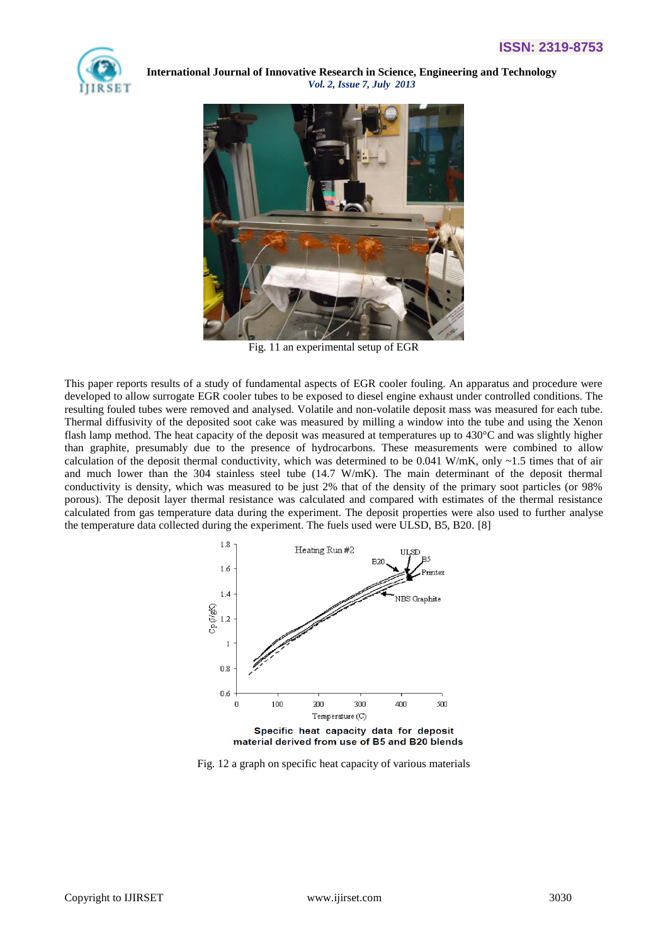



Fig. 11 an experimental setup of EGR

This paper reports results of a study of fundamental aspects of EGR cooler fouling. An apparatus and procedure were developed to allow surrogate EGR cooler tubes to be exposed to diesel engine exhaust under controlled conditions. The resulting fouled tubes were removed and analysed. Volatile and non-volatile deposit mass was measured for each tube. Thermal diffusivity of the deposited soot cake was measured by milling a window into the tube and using the Xenon flash lamp method. The heat capacity of the deposit was measured at temperatures up to 430°C and was slightly higher than graphite, presumably due to the presence of hydrocarbons. These measurements were combined to allow calculation of the deposit thermal conductivity, which was determined to be  $0.041$  W/mK, only ~1.5 times that of air and much lower than the 304 stainless steel tube (14.7 W/mK). The main determinant of the deposit thermal conductivity is density, which was measured to be just 2% that of the density of the primary soot particles (or 98% porous). The deposit layer thermal resistance was calculated and compared with estimates of the thermal resistance calculated from gas temperature data during the experiment. The deposit properties were also used to further analyse the temperature data collected during the experiment. The fuels used were ULSD, B5, B20. [8]



Fig. 12 a graph on specific heat capacity of various materials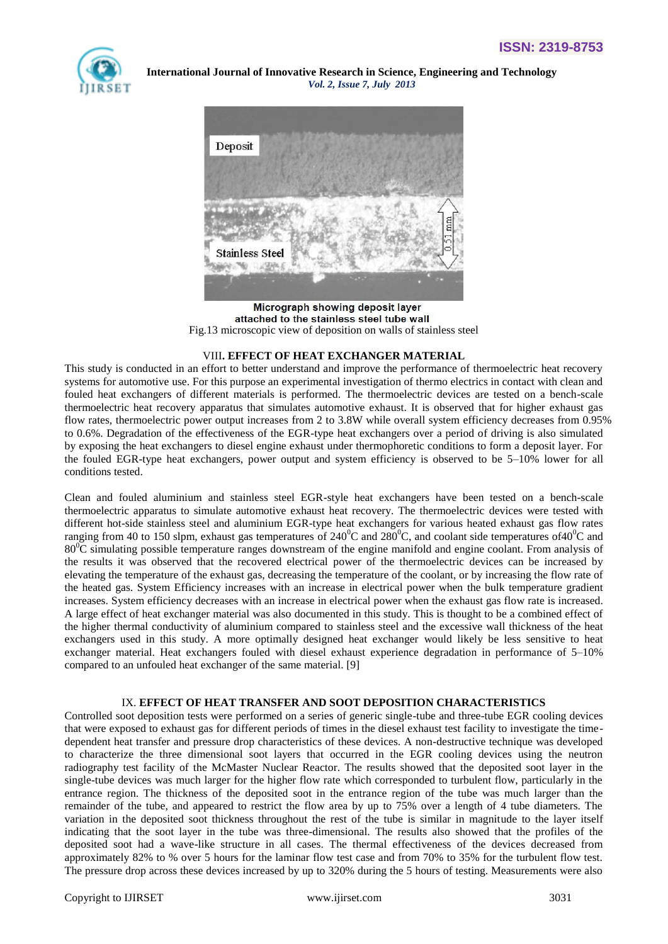



Micrograph showing deposit layer attached to the stainless steel tube wall Fig.13 microscopic view of deposition on walls of stainless steel

#### VIII**. EFFECT OF HEAT EXCHANGER MATERIAL**

This study is conducted in an effort to better understand and improve the performance of thermoelectric heat recovery systems for automotive use. For this purpose an experimental investigation of thermo electrics in contact with clean and fouled heat exchangers of different materials is performed. The thermoelectric devices are tested on a bench-scale thermoelectric heat recovery apparatus that simulates automotive exhaust. It is observed that for higher exhaust gas flow rates, thermoelectric power output increases from 2 to 3.8W while overall system efficiency decreases from 0.95% to 0.6%. Degradation of the effectiveness of the EGR-type heat exchangers over a period of driving is also simulated by exposing the heat exchangers to diesel engine exhaust under thermophoretic conditions to form a deposit layer. For the fouled EGR-type heat exchangers, power output and system efficiency is observed to be 5–10% lower for all conditions tested.

Clean and fouled aluminium and stainless steel EGR-style heat exchangers have been tested on a bench-scale thermoelectric apparatus to simulate automotive exhaust heat recovery. The thermoelectric devices were tested with different hot-side stainless steel and aluminium EGR-type heat exchangers for various heated exhaust gas flow rates ranging from 40 to 150 slpm, exhaust gas temperatures of  $240^{\circ}$ C and  $280^{\circ}$ C, and coolant side temperatures of 40<sup>o</sup>C and  $80^{\circ}$ C simulating possible temperature ranges downstream of the engine manifold and engine coolant. From analysis of the results it was observed that the recovered electrical power of the thermoelectric devices can be increased by elevating the temperature of the exhaust gas, decreasing the temperature of the coolant, or by increasing the flow rate of the heated gas. System Efficiency increases with an increase in electrical power when the bulk temperature gradient increases. System efficiency decreases with an increase in electrical power when the exhaust gas flow rate is increased. A large effect of heat exchanger material was also documented in this study. This is thought to be a combined effect of the higher thermal conductivity of aluminium compared to stainless steel and the excessive wall thickness of the heat exchangers used in this study. A more optimally designed heat exchanger would likely be less sensitive to heat exchanger material. Heat exchangers fouled with diesel exhaust experience degradation in performance of 5–10% compared to an unfouled heat exchanger of the same material. [9]

#### IX. **EFFECT OF HEAT TRANSFER AND SOOT DEPOSITION CHARACTERISTICS**

Controlled soot deposition tests were performed on a series of generic single-tube and three-tube EGR cooling devices that were exposed to exhaust gas for different periods of times in the diesel exhaust test facility to investigate the timedependent heat transfer and pressure drop characteristics of these devices. A non-destructive technique was developed to characterize the three dimensional soot layers that occurred in the EGR cooling devices using the neutron radiography test facility of the McMaster Nuclear Reactor. The results showed that the deposited soot layer in the single-tube devices was much larger for the higher flow rate which corresponded to turbulent flow, particularly in the entrance region. The thickness of the deposited soot in the entrance region of the tube was much larger than the remainder of the tube, and appeared to restrict the flow area by up to 75% over a length of 4 tube diameters. The variation in the deposited soot thickness throughout the rest of the tube is similar in magnitude to the layer itself indicating that the soot layer in the tube was three-dimensional. The results also showed that the profiles of the deposited soot had a wave-like structure in all cases. The thermal effectiveness of the devices decreased from approximately 82% to % over 5 hours for the laminar flow test case and from 70% to 35% for the turbulent flow test. The pressure drop across these devices increased by up to 320% during the 5 hours of testing. Measurements were also